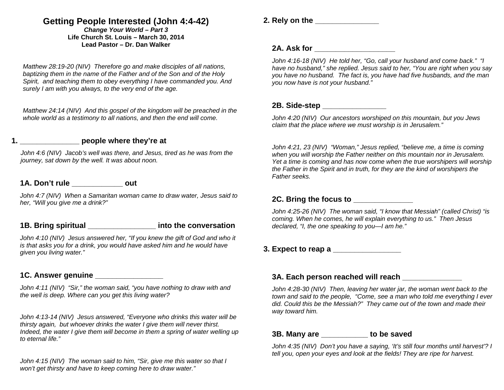## **Getting People Interested (John 4:4-42)**

#### *Change Your World – Part 3*  **Life Church St. Louis** *–* **March 30, 2014 Lead Pastor – Dr. Dan Walker**

*Matthew 28:19-20 (NIV) Therefore go and make disciples of all nations, baptizing them in the name of the Father and of the Son and of the Holy Spirit, and teaching them to obey everything I have commanded you. And surely I am with you always, to the very end of the age.* 

*Matthew 24:14 (NIV) And this gospel of the kingdom will be preached in the whole world as a testimony to all nations, and then the end will come.* 

### **1. \_\_\_\_\_\_\_\_\_\_\_\_\_\_ people where they're at**

*John 4:6 (NIV) Jacob's well was there, and Jesus, tired as he was from the journey, sat down by the well. It was about noon.* 

#### **1A. Don't rule \_\_\_\_\_\_\_\_\_\_\_\_ out**

*John 4:7 (NIV) When a Samaritan woman came to draw water, Jesus said to her, "Will you give me a drink?"* 

## **1B. Bring spiritual \_\_\_\_\_\_\_\_\_\_\_\_\_\_\_\_ into the conversation**

*John 4:10 (NIV) Jesus answered her, "If you knew the gift of God and who it is that asks you for a drink, you would have asked him and he would have given you living water."* 

# **1C. Answer genuine \_\_\_\_\_\_\_\_\_\_\_\_\_\_\_\_**

*John 4:11 (NIV) "Sir," the woman said, "you have nothing to draw with and the well is deep. Where can you get this living water?* 

*John 4:13-14 (NIV) Jesus answered, "Everyone who drinks this water will be thirsty again, but whoever drinks the water I give them will never thirst. Indeed, the water I give them will become in them a spring of water welling up to eternal life."* 

*John 4:15 (NIV) The woman said to him, "Sir, give me this water so that I won't get thirsty and have to keep coming here to draw water."* 

## **2. Rely on the**

#### **2A. Ask for \_\_\_\_\_\_\_\_\_\_\_\_\_\_\_\_\_\_\_**

*John 4:16-18 (NIV) He told her, "Go, call your husband and come back." "I have no husband," she replied. Jesus said to her, "You are right when you say you have no husband. The fact is, you have had five husbands, and the man you now have is not your husband."* 

### **2B. Side-step \_\_\_\_\_\_\_\_\_\_\_\_\_\_\_**

*John 4:20 (NIV) Our ancestors worshiped on this mountain, but you Jews claim that the place where we must worship is in Jerusalem."* 

*John 4:21, 23 (NIV) "Woman," Jesus replied, "believe me, a time is coming when you will worship the Father neither on this mountain nor in Jerusalem. Yet a time is coming and has now come when the true worshipers will worship the Father in the Spirit and in truth, for they are the kind of worshipers the Father seeks.* 

## **2C. Bring the focus to \_\_\_\_\_\_\_\_\_\_\_\_\_\_**

*John 4:25-26 (NIV) The woman said, "I know that Messiah" (called Christ) "is coming. When he comes, he will explain everything to us." Then Jesus declared, "I, the one speaking to you—I am he."* 

## **3. Expect to reap a \_\_\_\_\_\_\_\_\_\_\_\_\_\_\_\_**

#### **3A. Each person reached will reach**

*John 4:28-30 (NIV) Then, leaving her water jar, the woman went back to the town and said to the people, "Come, see a man who told me everything I ever did. Could this be the Messiah?" They came out of the town and made their way toward him.* 

### **3B. Many are \_\_\_\_\_\_\_\_\_\_\_ to be saved**

*John 4:35 (NIV) Don't you have a saying, 'It's still four months until harvest'? I tell you, open your eyes and look at the fields! They are ripe for harvest.*